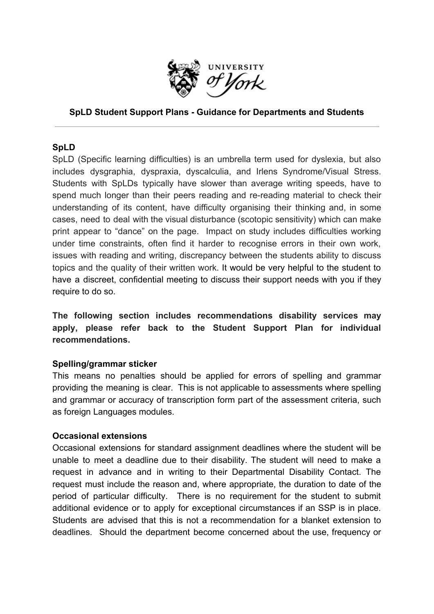

# **SpLD Student Support Plans - Guidance for Departments and Students**

### **SpLD**

SpLD (Specific learning difficulties) is an umbrella term used for dyslexia, but also includes dysgraphia, dyspraxia, dyscalculia, and Irlens Syndrome/Visual Stress. Students with SpLDs typically have slower than average writing speeds, have to spend much longer than their peers reading and re-reading material to check their understanding of its content, have difficulty organising their thinking and, in some cases, need to deal with the visual disturbance (scotopic sensitivity) which can make print appear to "dance" on the page. Impact on study includes difficulties working under time constraints, often find it harder to recognise errors in their own work, issues with reading and writing, discrepancy between the students ability to discuss topics and the quality of their written work. It would be very helpful to the student to have a discreet, confidential meeting to discuss their support needs with you if they require to do so.

**The following section includes recommendations disability services may apply, please refer back to the Student Support Plan for individual recommendations.**

### **Spelling/grammar sticker**

This means no penalties should be applied for errors of spelling and grammar providing the meaning is clear. This is not applicable to assessments where spelling and grammar or accuracy of transcription form part of the assessment criteria, such as foreign Languages modules.

### **Occasional extensions**

Occasional extensions for standard assignment deadlines where the student will be unable to meet a deadline due to their disability. The student will need to make a request in advance and in writing to their Departmental Disability Contact. The request must include the reason and, where appropriate, the duration to date of the period of particular difficulty. There is no requirement for the student to submit additional evidence or to apply for exceptional circumstances if an SSP is in place. Students are advised that this is not a recommendation for a blanket extension to deadlines. Should the department become concerned about the use, frequency or